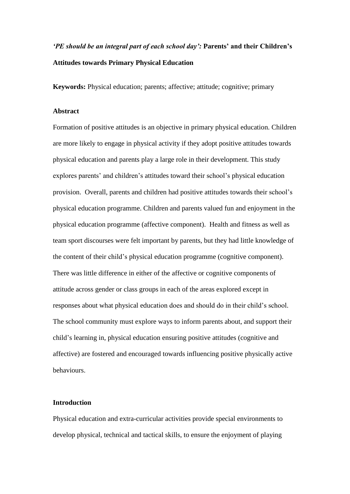# *'PE should be an integral part of each school day':* **Parents' and their Children's Attitudes towards Primary Physical Education**

**Keywords:** Physical education; parents; affective; attitude; cognitive; primary

## **Abstract**

Formation of positive attitudes is an objective in primary physical education. Children are more likely to engage in physical activity if they adopt positive attitudes towards physical education and parents play a large role in their development. This study explores parents' and children's attitudes toward their school's physical education provision. Overall, parents and children had positive attitudes towards their school's physical education programme. Children and parents valued fun and enjoyment in the physical education programme (affective component). Health and fitness as well as team sport discourses were felt important by parents, but they had little knowledge of the content of their child's physical education programme (cognitive component). There was little difference in either of the affective or cognitive components of attitude across gender or class groups in each of the areas explored except in responses about what physical education does and should do in their child's school. The school community must explore ways to inform parents about, and support their child's learning in, physical education ensuring positive attitudes (cognitive and affective) are fostered and encouraged towards influencing positive physically active behaviours.

## **Introduction**

Physical education and extra-curricular activities provide special environments to develop physical, technical and tactical skills, to ensure the enjoyment of playing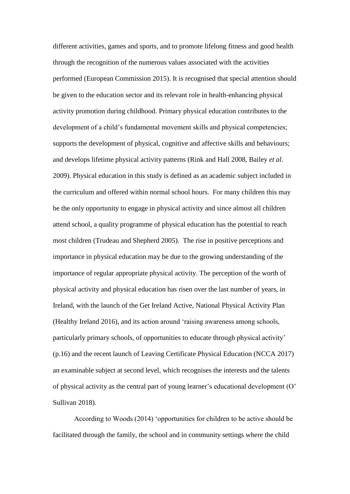different activities, games and sports, and to promote lifelong fitness and good health through the recognition of the numerous values associated with the activities performed (European Commission 2015). It is recognised that special attention should be given to the education sector and its relevant role in health-enhancing physical activity promotion during childhood. Primary physical education contributes to the development of a child's fundamental movement skills and physical competencies; supports the development of physical, cognitive and affective skills and behaviours; and develops lifetime physical activity patterns (Rink and Hall 2008, Bailey *et al*. 2009). Physical education in this study is defined as an academic subject included in the curriculum and offered within normal school hours. For many children this may be the only opportunity to engage in physical activity and since almost all children attend school, a quality programme of physical education has the potential to reach most children (Trudeau and Shepherd 2005). The rise in positive perceptions and importance in physical education may be due to the growing understanding of the importance of regular appropriate physical activity. The perception of the worth of physical activity and physical education has risen over the last number of years, in Ireland, with the launch of the Get Ireland Active, National Physical Activity Plan (Healthy Ireland 2016), and its action around 'raising awareness among schools, particularly primary schools, of opportunities to educate through physical activity' (p.16) and the recent launch of Leaving Certificate Physical Education (NCCA 2017) an examinable subject at second level, which recognises the interests and the talents of physical activity as the central part of young learner's educational development (O' Sullivan 2018).

According to Woods (2014) 'opportunities for children to be active should be facilitated through the family, the school and in community settings where the child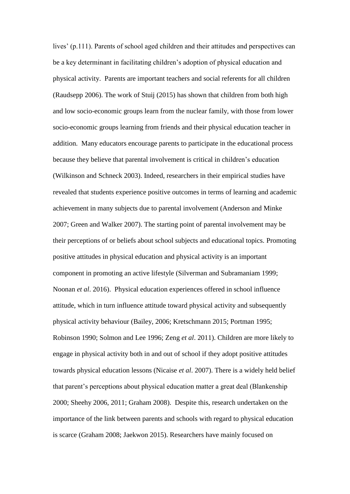lives' (p.111). Parents of school aged children and their attitudes and perspectives can be a key determinant in facilitating children's adoption of physical education and physical activity. Parents are important teachers and social referents for all children (Raudsepp 2006). The work of Stuij (2015) has shown that children from both high and low socio-economic groups learn from the nuclear family, with those from lower socio-economic groups learning from friends and their physical education teacher in addition. Many educators encourage parents to participate in the educational process because they believe that parental involvement is critical in children's education (Wilkinson and Schneck 2003). Indeed, researchers in their empirical studies have revealed that students experience positive outcomes in terms of learning and academic achievement in many subjects due to parental involvement (Anderson and Minke 2007; Green and Walker 2007). The starting point of parental involvement may be their perceptions of or beliefs about school subjects and educational topics. Promoting positive attitudes in physical education and physical activity is an important component in promoting an active lifestyle (Silverman and Subramaniam 1999; Noonan *et al*. 2016). Physical education experiences offered in school influence attitude, which in turn influence attitude toward physical activity and subsequently physical activity behaviour (Bailey, 2006; Kretschmann 2015; Portman 1995; Robinson 1990; Solmon and Lee 1996; Zeng *et al*. 2011). Children are more likely to engage in physical activity both in and out of school if they adopt positive attitudes towards physical education lessons (Nicaise *et al*. 2007). There is a widely held belief that parent's perceptions about physical education matter a great deal (Blankenship 2000; Sheehy 2006, 2011; Graham 2008). Despite this, research undertaken on the importance of the link between parents and schools with regard to physical education is scarce (Graham 2008; Jaekwon 2015). Researchers have mainly focused on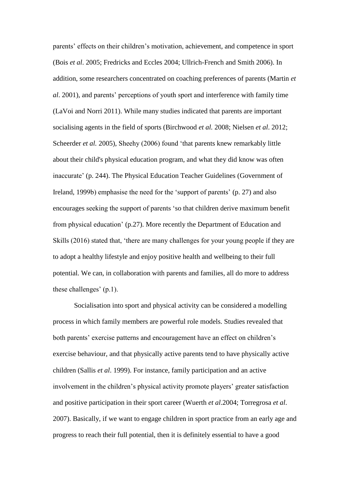parents' effects on their children's motivation, achievement, and competence in sport (Bois *et al*. 2005; Fredricks and Eccles 2004; Ullrich-French and Smith 2006). In addition, some researchers concentrated on coaching preferences of parents (Martin *et al*. 2001), and parents' perceptions of youth sport and interference with family time (LaVoi and Norri 2011). While many studies indicated that parents are important socialising agents in the field of sports (Birchwood *et al.* 2008; Nielsen *et al*. 2012; Scheerder *et al.* 2005), Sheehy (2006) found 'that parents knew remarkably little about their child's physical education program, and what they did know was often inaccurate' (p. 244). The Physical Education Teacher Guidelines (Government of Ireland, 1999b) emphasise the need for the 'support of parents' (p. 27) and also encourages seeking the support of parents 'so that children derive maximum benefit from physical education' (p.27). More recently the Department of Education and Skills (2016) stated that, 'there are many challenges for your young people if they are to adopt a healthy lifestyle and enjoy positive health and wellbeing to their full potential. We can, in collaboration with parents and families, all do more to address these challenges' (p.1).

Socialisation into sport and physical activity can be considered a modelling process in which family members are powerful role models. Studies revealed that both parents' exercise patterns and encouragement have an effect on children's exercise behaviour, and that physically active parents tend to have physically active children (Sallis *et al*. 1999). For instance, family participation and an active involvement in the children's physical activity promote players' greater satisfaction and positive participation in their sport career (Wuerth *et al*.2004; Torregrosa *et al*. 2007). Basically, if we want to engage children in sport practice from an early age and progress to reach their full potential, then it is definitely essential to have a good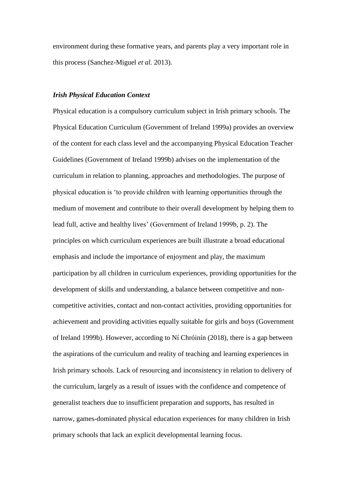environment during these formative years, and parents play a very important role in this process (Sanchez-Miguel *et al.* 2013).

#### *Irish Physical Education Context*

Physical education is a compulsory curriculum subject in Irish primary schools. The Physical Education Curriculum (Government of Ireland 1999a) provides an overview of the content for each class level and the accompanying Physical Education Teacher Guidelines (Government of Ireland 1999b) advises on the implementation of the curriculum in relation to planning, approaches and methodologies. The purpose of physical education is 'to provide children with learning opportunities through the medium of movement and contribute to their overall development by helping them to lead full, active and healthy lives' (Government of Ireland 1999b, p. 2). The principles on which curriculum experiences are built illustrate a broad educational emphasis and include the importance of enjoyment and play, the maximum participation by all children in curriculum experiences, providing opportunities for the development of skills and understanding, a balance between competitive and noncompetitive activities, contact and non-contact activities, providing opportunities for achievement and providing activities equally suitable for girls and boys (Government of Ireland 1999b). However, according to Ní Chróinín (2018), there is a gap between the aspirations of the curriculum and reality of teaching and learning experiences in Irish primary schools. Lack of resourcing and inconsistency in relation to delivery of the curriculum, largely as a result of issues with the confidence and competence of generalist teachers due to insufficient preparation and supports, has resulted in narrow, games-dominated physical education experiences for many children in Irish primary schools that lack an explicit developmental learning focus.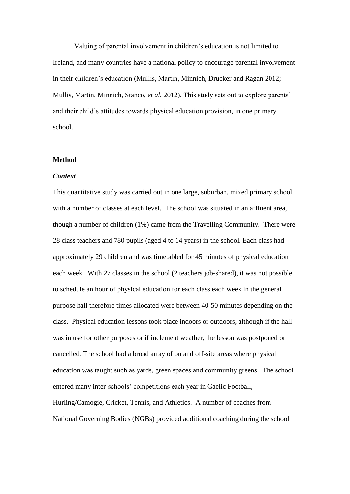Valuing of parental involvement in children's education is not limited to Ireland, and many countries have a national policy to encourage parental involvement in their children's education (Mullis, Martin, Minnich, Drucker and Ragan 2012; Mullis, Martin, Minnich, Stanco, *et al.* 2012). This study sets out to explore parents' and their child's attitudes towards physical education provision, in one primary school.

#### **Method**

#### *Context*

This quantitative study was carried out in one large, suburban, mixed primary school with a number of classes at each level. The school was situated in an affluent area, though a number of children (1%) came from the Travelling Community. There were 28 class teachers and 780 pupils (aged 4 to 14 years) in the school. Each class had approximately 29 children and was timetabled for 45 minutes of physical education each week. With 27 classes in the school (2 teachers job-shared), it was not possible to schedule an hour of physical education for each class each week in the general purpose hall therefore times allocated were between 40-50 minutes depending on the class. Physical education lessons took place indoors or outdoors, although if the hall was in use for other purposes or if inclement weather, the lesson was postponed or cancelled. The school had a broad array of on and off-site areas where physical education was taught such as yards, green spaces and community greens. The school entered many inter-schools' competitions each year in Gaelic Football, Hurling/Camogie, Cricket, Tennis, and Athletics. A number of coaches from National Governing Bodies (NGBs) provided additional coaching during the school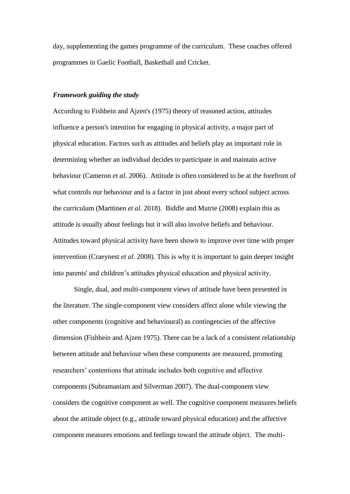day, supplementing the games programme of the curriculum. These coaches offered programmes in Gaelic Football, Basketball and Cricket.

## *Framework guiding the study*

According to Fishbein and Ajzen's (1975) theory of reasoned action, attitudes influence a person's intention for engaging in physical activity, a major part of physical education. Factors such as attitudes and beliefs play an important role in determining whether an individual decides to participate in and maintain active behaviour (Cameron *et al*. 2006). Attitude is often considered to be at the forefront of what controls our behaviour and is a factor in just about every school subject across the curriculum (Marttinen *et al*. 2018). Biddle and Mutrie (2008) explain this as attitude is usually about feelings but it will also involve beliefs and behaviour. Attitudes toward physical activity have been shown to improve over time with proper intervention (Craeynest *et al*. 2008). This is why it is important to gain deeper insight into parents' and children's attitudes physical education and physical activity.

Single, dual, and multi-component views of attitude have been presented in the literature. The single-component view considers affect alone while viewing the other components (cognitive and behavioural) as contingencies of the affective dimension (Fishbein and Ajzen 1975). There can be a lack of a consistent relationship between attitude and behaviour when these components are measured, promoting researchers' contentions that attitude includes both cognitive and affective components (Subramaniam and Silverman 2007). The dual-component view considers the cognitive component as well. The cognitive component measures beliefs about the attitude object (e.g., attitude toward physical education) and the affective component measures emotions and feelings toward the attitude object. The multi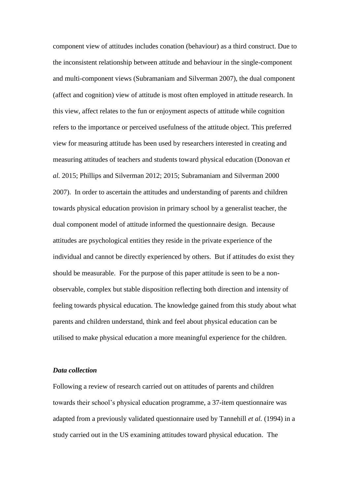component view of attitudes includes conation (behaviour) as a third construct. Due to the inconsistent relationship between attitude and behaviour in the single-component and multi-component views (Subramaniam and Silverman 2007), the dual component (affect and cognition) view of attitude is most often employed in attitude research. In this view, affect relates to the fun or enjoyment aspects of attitude while cognition refers to the importance or perceived usefulness of the attitude object. This preferred view for measuring attitude has been used by researchers interested in creating and measuring attitudes of teachers and students toward physical education (Donovan *et al.* 2015; Phillips and Silverman 2012; 2015; Subramaniam and Silverman 2000 2007). In order to ascertain the attitudes and understanding of parents and children towards physical education provision in primary school by a generalist teacher, the dual component model of attitude informed the questionnaire design. Because attitudes are psychological entities they reside in the private experience of the individual and cannot be directly experienced by others. But if attitudes do exist they should be measurable. For the purpose of this paper attitude is seen to be a nonobservable, complex but stable disposition reflecting both direction and intensity of feeling towards physical education. The knowledge gained from this study about what parents and children understand, think and feel about physical education can be utilised to make physical education a more meaningful experience for the children.

#### *Data collection*

Following a review of research carried out on attitudes of parents and children towards their school's physical education programme, a 37-item questionnaire was adapted from a previously validated questionnaire used by Tannehill *et al.* (1994) in a study carried out in the US examining attitudes toward physical education. The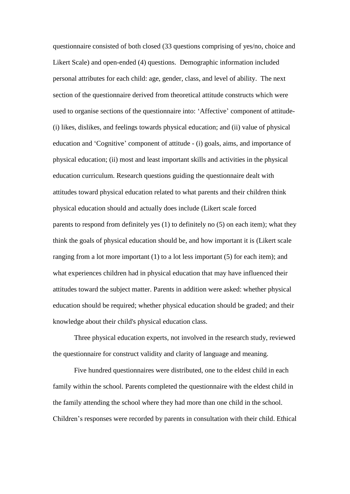questionnaire consisted of both closed (33 questions comprising of yes/no, choice and Likert Scale) and open-ended (4) questions. Demographic information included personal attributes for each child: age, gender, class, and level of ability. The next section of the questionnaire derived from theoretical attitude constructs which were used to organise sections of the questionnaire into: 'Affective' component of attitude- (i) likes, dislikes, and feelings towards physical education; and (ii) value of physical education and 'Cognitive' component of attitude - (i) goals, aims, and importance of physical education; (ii) most and least important skills and activities in the physical education curriculum. Research questions guiding the questionnaire dealt with attitudes toward physical education related to what parents and their children think physical education should and actually does include (Likert scale forced parents to respond from definitely yes (1) to definitely no (5) on each item); what they think the goals of physical education should be, and how important it is (Likert scale ranging from a lot more important (1) to a lot less important (5) for each item); and what experiences children had in physical education that may have influenced their attitudes toward the subject matter. Parents in addition were asked: whether physical education should be required; whether physical education should be graded; and their knowledge about their child's physical education class.

Three physical education experts, not involved in the research study, reviewed the questionnaire for construct validity and clarity of language and meaning.

Five hundred questionnaires were distributed, one to the eldest child in each family within the school. Parents completed the questionnaire with the eldest child in the family attending the school where they had more than one child in the school. Children's responses were recorded by parents in consultation with their child. Ethical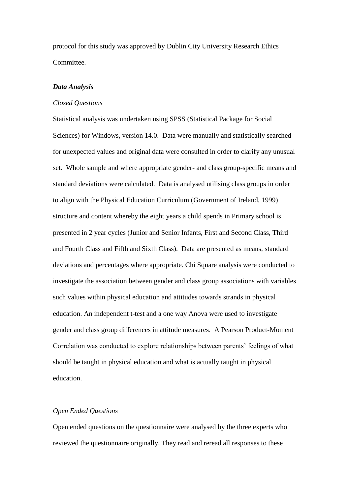protocol for this study was approved by Dublin City University Research Ethics Committee.

## *Data Analysis*

#### *Closed Questions*

Statistical analysis was undertaken using SPSS (Statistical Package for Social Sciences) for Windows, version 14.0. Data were manually and statistically searched for unexpected values and original data were consulted in order to clarify any unusual set. Whole sample and where appropriate gender- and class group-specific means and standard deviations were calculated. Data is analysed utilising class groups in order to align with the Physical Education Curriculum (Government of Ireland, 1999) structure and content whereby the eight years a child spends in Primary school is presented in 2 year cycles (Junior and Senior Infants, First and Second Class, Third and Fourth Class and Fifth and Sixth Class). Data are presented as means, standard deviations and percentages where appropriate. Chi Square analysis were conducted to investigate the association between gender and class group associations with variables such values within physical education and attitudes towards strands in physical education. An independent t-test and a one way Anova were used to investigate gender and class group differences in attitude measures. A Pearson Product-Moment Correlation was conducted to explore relationships between parents' feelings of what should be taught in physical education and what is actually taught in physical education.

#### *Open Ended Questions*

Open ended questions on the questionnaire were analysed by the three experts who reviewed the questionnaire originally. They read and reread all responses to these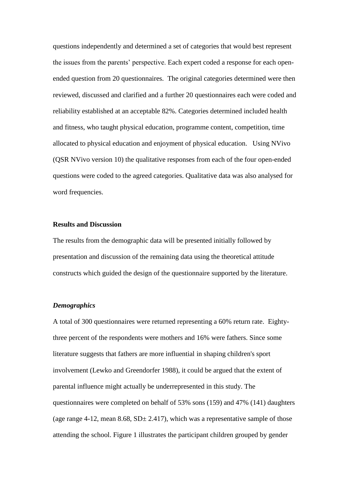questions independently and determined a set of categories that would best represent the issues from the parents' perspective. Each expert coded a response for each openended question from 20 questionnaires. The original categories determined were then reviewed, discussed and clarified and a further 20 questionnaires each were coded and reliability established at an acceptable 82%. Categories determined included health and fitness, who taught physical education, programme content, competition, time allocated to physical education and enjoyment of physical education. Using NVivo (QSR NVivo version 10) the qualitative responses from each of the four open-ended questions were coded to the agreed categories. Qualitative data was also analysed for word frequencies.

#### **Results and Discussion**

The results from the demographic data will be presented initially followed by presentation and discussion of the remaining data using the theoretical attitude constructs which guided the design of the questionnaire supported by the literature.

## *Demographics*

A total of 300 questionnaires were returned representing a 60% return rate. Eightythree percent of the respondents were mothers and 16% were fathers. Since some literature suggests that fathers are more influential in shaping children's sport involvement (Lewko and Greendorfer 1988), it could be argued that the extent of parental influence might actually be underrepresented in this study. The questionnaires were completed on behalf of 53% sons (159) and 47% (141) daughters (age range 4-12, mean 8.68,  $SD \pm 2.417$ ), which was a representative sample of those attending the school. Figure 1 illustrates the participant children grouped by gender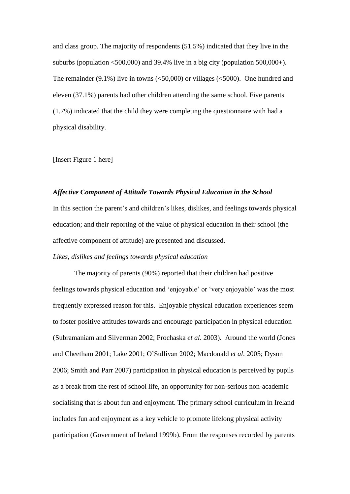and class group. The majority of respondents (51.5%) indicated that they live in the suburbs (population  $\leq 500,000$ ) and 39.4% live in a big city (population  $500,000+$ ). The remainder  $(9.1\%)$  live in towns (<50,000) or villages (<5000). One hundred and eleven (37.1%) parents had other children attending the same school. Five parents (1.7%) indicated that the child they were completing the questionnaire with had a physical disability.

[Insert Figure 1 here]

#### *Affective Component of Attitude Towards Physical Education in the School*

In this section the parent's and children's likes, dislikes, and feelings towards physical education; and their reporting of the value of physical education in their school (the affective component of attitude) are presented and discussed.

*Likes, dislikes and feelings towards physical education*

The majority of parents (90%) reported that their children had positive feelings towards physical education and 'enjoyable' or 'very enjoyable' was the most frequently expressed reason for this. Enjoyable physical education experiences seem to foster positive attitudes towards and encourage participation in physical education (Subramaniam and Silverman 2002; Prochaska *et al*. 2003). Around the world (Jones and Cheetham 2001; Lake 2001; O'Sullivan 2002; Macdonald *et al*. 2005; Dyson 2006; Smith and Parr 2007) participation in physical education is perceived by pupils as a break from the rest of school life, an opportunity for non-serious non-academic socialising that is about fun and enjoyment. The primary school curriculum in Ireland includes fun and enjoyment as a key vehicle to promote lifelong physical activity participation (Government of Ireland 1999b). From the responses recorded by parents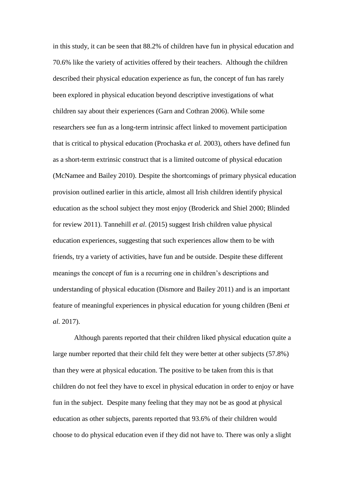in this study, it can be seen that 88.2% of children have fun in physical education and 70.6% like the variety of activities offered by their teachers. Although the children described their physical education experience as fun, the concept of fun has rarely been explored in physical education beyond descriptive investigations of what children say about their experiences (Garn and Cothran 2006). While some researchers see fun as a long-term intrinsic affect linked to movement participation that is critical to physical education (Prochaska *et al.* 2003), others have defined fun as a short-term extrinsic construct that is a limited outcome of physical education (McNamee and Bailey 2010). Despite the shortcomings of primary physical education provision outlined earlier in this article, almost all Irish children identify physical education as the school subject they most enjoy (Broderick and Shiel 2000; Blinded for review 2011). Tannehill *et al*. (2015) suggest Irish children value physical education experiences, suggesting that such experiences allow them to be with friends, try a variety of activities, have fun and be outside. Despite these different meanings the concept of fun is a recurring one in children's descriptions and understanding of physical education (Dismore and Bailey 2011) and is an important feature of meaningful experiences in physical education for young children (Beni *et al.* 2017).

Although parents reported that their children liked physical education quite a large number reported that their child felt they were better at other subjects (57.8%) than they were at physical education. The positive to be taken from this is that children do not feel they have to excel in physical education in order to enjoy or have fun in the subject. Despite many feeling that they may not be as good at physical education as other subjects, parents reported that 93.6% of their children would choose to do physical education even if they did not have to. There was only a slight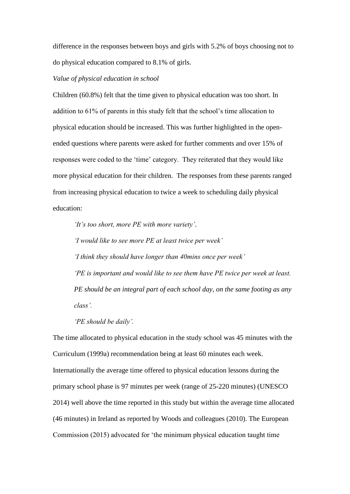difference in the responses between boys and girls with 5.2% of boys choosing not to do physical education compared to 8.1% of girls.

## *Value of physical education in school*

Children (60.8%) felt that the time given to physical education was too short. In addition to 61% of parents in this study felt that the school's time allocation to physical education should be increased. This was further highlighted in the openended questions where parents were asked for further comments and over 15% of responses were coded to the 'time' category. They reiterated that they would like more physical education for their children. The responses from these parents ranged from increasing physical education to twice a week to scheduling daily physical education:

*'It's too short, more PE with more variety'*.

*'I would like to see more PE at least twice per week' 'I think they should have longer than 40mins once per week' 'PE is important and would like to see them have PE twice per week at least. PE should be an integral part of each school day, on the same footing as any* 

*class'.*

*'PE should be daily'.*

The time allocated to physical education in the study school was 45 minutes with the Curriculum (1999a) recommendation being at least 60 minutes each week. Internationally the average time offered to physical education lessons during the primary school phase is 97 minutes per week (range of 25-220 minutes) (UNESCO 2014) well above the time reported in this study but within the average time allocated (46 minutes) in Ireland as reported by Woods and colleagues (2010). The European Commission (2015) advocated for 'the minimum physical education taught time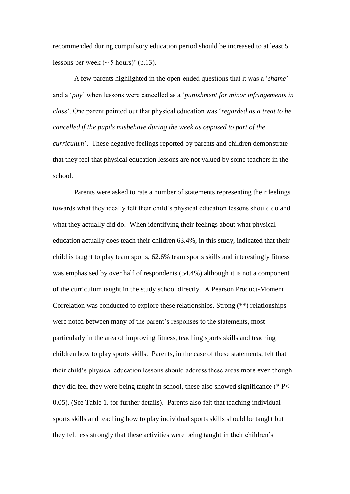recommended during compulsory education period should be increased to at least 5 lessons per week  $({\sim} 5 \text{ hours})'$  (p.13).

A few parents highlighted in the open-ended questions that it was a '*shame*' and a '*pity*' when lessons were cancelled as a '*punishment for minor infringements in class*'. One parent pointed out that physical education was '*regarded as a treat to be cancelled if the pupils misbehave during the week as opposed to part of the curriculum*<sup>'</sup>. These negative feelings reported by parents and children demonstrate that they feel that physical education lessons are not valued by some teachers in the school.

Parents were asked to rate a number of statements representing their feelings towards what they ideally felt their child's physical education lessons should do and what they actually did do. When identifying their feelings about what physical education actually does teach their children 63.4%, in this study, indicated that their child is taught to play team sports, 62.6% team sports skills and interestingly fitness was emphasised by over half of respondents (54.4%) although it is not a component of the curriculum taught in the study school directly. A Pearson Product-Moment Correlation was conducted to explore these relationships. Strong (\*\*) relationships were noted between many of the parent's responses to the statements, most particularly in the area of improving fitness, teaching sports skills and teaching children how to play sports skills. Parents, in the case of these statements, felt that their child's physical education lessons should address these areas more even though they did feel they were being taught in school, these also showed significance (\*  $P\leq$ 0.05). (See Table 1. for further details). Parents also felt that teaching individual sports skills and teaching how to play individual sports skills should be taught but they felt less strongly that these activities were being taught in their children's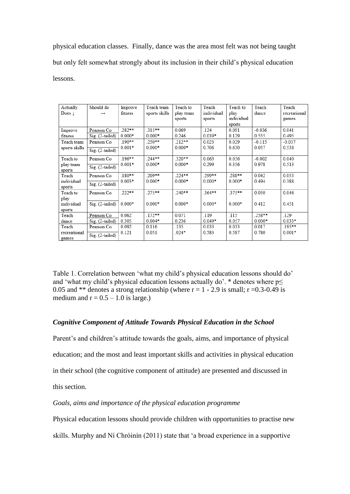physical education classes. Finally, dance was the area most felt was not being taught but only felt somewhat strongly about its inclusion in their child's physical education lessons.

| Actually              | Should do           | Improve   | Teach team    | Teach to  | Teach      | Teach to   | Teach    | Teach        |
|-----------------------|---------------------|-----------|---------------|-----------|------------|------------|----------|--------------|
| $Does \perp$          | $\rightarrow$       | fitness   | sports skills | play team | individual | play       | dance    | recreational |
|                       |                     |           |               | sports    | sports     | individual |          | games        |
|                       |                     |           |               |           |            | sports     |          |              |
| Improve               | Pearson Co          | 282**     | $315***$      | 0.069     | .124       | 0.091      | $-0.036$ | 0.041        |
| fitness               | Sig. (2-tailed)     | $0.000*$  | $0.000*$      | 0.246     | $0.039*$   | 0.129      | 0.555    | 0.495        |
| Teach team            | Pearson Co          | .190**    | $.250***$     | $.212**$  | 0.023      | 0.029      | $-0.115$ | $-0.037$     |
| sports skills         | $Sig.$ (2-tailed)   | $0.001*$  | $0.000*$      | $0.000*$  | 0.706      | 0.630      | 0.057    | 0.538        |
| Teach to              | Pearson Co          | .196**    | 244**         | 320**     | 0.063      | 0.056      | $-0.002$ | 0.040        |
| play team<br>sports   | Sig. (2-tailed)     | $0.001*$  | $0.000*$      | $0.000*$  | 0.299      | 0.356      | 0.978    | 0.513        |
| Teach                 | Pearson Co          | $.180***$ | $209**$       | $.224***$ | 299**      | .288**     | 0.042    | 0.053        |
| individual<br>sports  | Sig. (2-tailed)     | $0.003*$  | $0.000*$      | $0.000*$  | $0.000*$   | $0.000*$   | 0.494    | 0.388        |
| Teach to              | Pearson Co          | .222**    | $.275***$     | .240**    | $.364***$  | .375**     | 0.050    | 0.046        |
| play                  |                     |           |               |           |            |            |          |              |
| individual            | $Sig.$ $(2-tailed)$ | $0.000*$  | $0.000*$      | $0.000*$  | $0.000*$   | $0.000*$   | 0.412    | 0.451        |
| sports                |                     |           |               |           |            |            |          |              |
| Teach                 | Pearson Co          | 0.062     | $.172**$      | 0.071     | .119       | .115       | .258**   | .129         |
| dance                 | Sig. (2-tailed)     | 0.305     | $0.004*$      | 0.236     | $0.049*$   | 0.057      | $0.000*$ | $0.033*$     |
| Teach                 | Pearson Co          | 0.092     | 0.116         | .135      | 0.033      | 0.033      | 0.017    | .195**       |
| recreational<br>games | Sig. (2-tailed)     | 0.121     | 0.051         | $.024*$   | 0.583      | 0.587      | 0.780    | $0.001*$     |

Table 1. Correlation between 'what my child's physical education lessons should do' and 'what my child's physical education lessons actually do'. \* denotes where  $p \leq$ 0.05 and \*\* denotes a strong relationship (where  $r = 1 - 2.9$  is small;  $r = 0.3 - 0.49$  is medium and  $r = 0.5 - 1.0$  is large.)

# *Cognitive Component of Attitude Towards Physical Education in the School*

Parent's and children's attitude towards the goals, aims, and importance of physical education; and the most and least important skills and activities in physical education in their school (the cognitive component of attitude) are presented and discussed in this section.

## *Goals, aims and importance of the physical education programme*

Physical education lessons should provide children with opportunities to practise new

skills. Murphy and Ní Chróinín (2011) state that 'a broad experience in a supportive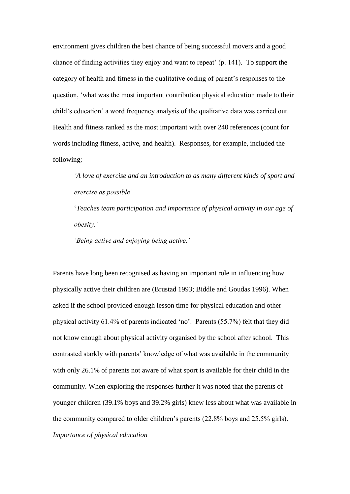environment gives children the best chance of being successful movers and a good chance of finding activities they enjoy and want to repeat' (p. 141). To support the category of health and fitness in the qualitative coding of parent's responses to the question, 'what was the most important contribution physical education made to their child's education' a word frequency analysis of the qualitative data was carried out. Health and fitness ranked as the most important with over 240 references (count for words including fitness, active, and health). Responses, for example, included the following;

*'A love of exercise and an introduction to as many different kinds of sport and exercise as possible'*

'*Teaches team participation and importance of physical activity in our age of obesity.'*

*'Being active and enjoying being active.'*

Parents have long been recognised as having an important role in influencing how physically active their children are (Brustad 1993; Biddle and Goudas 1996). When asked if the school provided enough lesson time for physical education and other physical activity 61.4% of parents indicated 'no'. Parents (55.7%) felt that they did not know enough about physical activity organised by the school after school. This contrasted starkly with parents' knowledge of what was available in the community with only 26.1% of parents not aware of what sport is available for their child in the community. When exploring the responses further it was noted that the parents of younger children (39.1% boys and 39.2% girls) knew less about what was available in the community compared to older children's parents (22.8% boys and 25.5% girls). *Importance of physical education*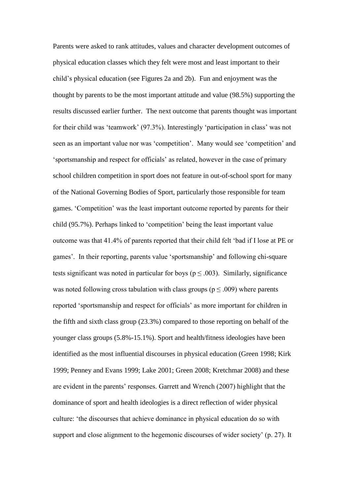Parents were asked to rank attitudes, values and character development outcomes of physical education classes which they felt were most and least important to their child's physical education (see Figures 2a and 2b). Fun and enjoyment was the thought by parents to be the most important attitude and value (98.5%) supporting the results discussed earlier further. The next outcome that parents thought was important for their child was 'teamwork' (97.3%). Interestingly 'participation in class' was not seen as an important value nor was 'competition'. Many would see 'competition' and 'sportsmanship and respect for officials' as related, however in the case of primary school children competition in sport does not feature in out-of-school sport for many of the National Governing Bodies of Sport, particularly those responsible for team games. 'Competition' was the least important outcome reported by parents for their child (95.7%). Perhaps linked to 'competition' being the least important value outcome was that 41.4% of parents reported that their child felt 'bad if I lose at PE or games'. In their reporting, parents value 'sportsmanship' and following chi-square tests significant was noted in particular for boys ( $p \le 0.003$ ). Similarly, significance was noted following cross tabulation with class groups ( $p \leq .009$ ) where parents reported 'sportsmanship and respect for officials' as more important for children in the fifth and sixth class group (23.3%) compared to those reporting on behalf of the younger class groups (5.8%-15.1%). Sport and health/fitness ideologies have been identified as the most influential discourses in physical education (Green 1998; Kirk 1999; Penney and Evans 1999; Lake 2001; Green 2008; Kretchmar 2008) and these are evident in the parents' responses. Garrett and Wrench (2007) highlight that the dominance of sport and health ideologies is a direct reflection of wider physical culture: 'the discourses that achieve dominance in physical education do so with support and close alignment to the hegemonic discourses of wider society' (p. 27). It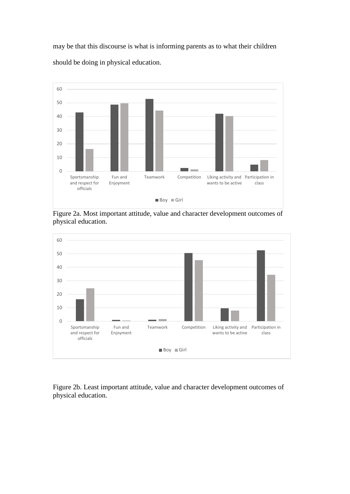may be that this discourse is what is informing parents as to what their children should be doing in physical education.



Figure 2a. Most important attitude, value and character development outcomes of physical education.



Figure 2b. Least important attitude, value and character development outcomes of physical education.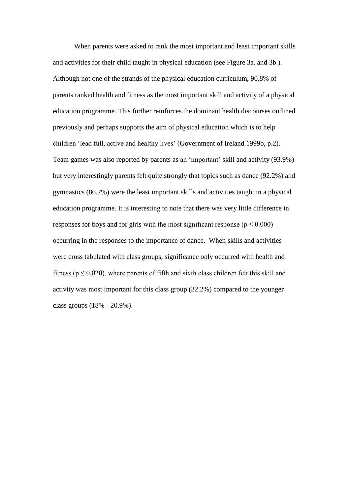When parents were asked to rank the most important and least important skills and activities for their child taught in physical education (see Figure 3a. and 3b.). Although not one of the strands of the physical education curriculum, 90.8% of parents ranked health and fitness as the most important skill and activity of a physical education programme. This further reinforces the dominant health discourses outlined previously and perhaps supports the aim of physical education which is to help children 'lead full, active and healthy lives' (Government of Ireland 1999b, p.2). Team games was also reported by parents as an 'important' skill and activity (93.9%) but very interestingly parents felt quite strongly that topics such as dance (92.2%) and gymnastics (86.7%) were the least important skills and activities taught in a physical education programme. It is interesting to note that there was very little difference in responses for boys and for girls with the most significant response ( $p \le 0.000$ ) occurring in the responses to the importance of dance. When skills and activities were cross tabulated with class groups, significance only occurred with health and fitness ( $p \le 0.020$ ), where parents of fifth and sixth class children felt this skill and activity was most important for this class group (32.2%) compared to the younger class groups (18% - 20.9%).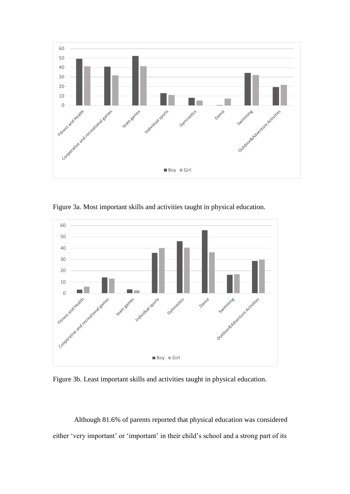

Figure 3a. Most important skills and activities taught in physical education.



Figure 3b. Least important skills and activities taught in physical education.

Although 81.6% of parents reported that physical education was considered either 'very important' or 'important' in their child's school and a strong part of its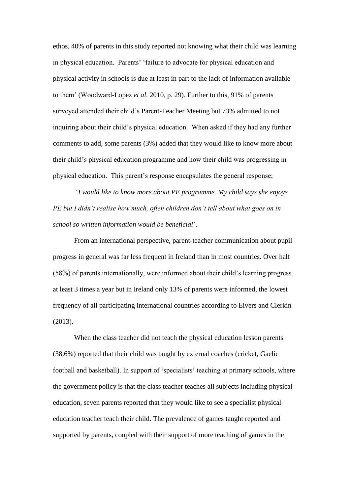ethos, 40% of parents in this study reported not knowing what their child was learning in physical education. Parents' 'failure to advocate for physical education and physical activity in schools is due at least in part to the lack of information available to them' (Woodward-Lopez *et al.* 2010, p. 29). Further to this, 91% of parents surveyed attended their child's Parent-Teacher Meeting but 73% admitted to not inquiring about their child's physical education. When asked if they had any further comments to add, some parents (3%) added that they would like to know more about their child's physical education programme and how their child was progressing in physical education. This parent's response encapsulates the general response;

'*I would like to know more about PE programme. My child says she enjoys PE but I didn't realise how much, often children don't tell about what goes on in school so written information would be beneficial*'.

From an international perspective, parent-teacher communication about pupil progress in general was far less frequent in Ireland than in most countries. Over half (58%) of parents internationally, were informed about their child's learning progress at least 3 times a year but in Ireland only 13% of parents were informed, the lowest frequency of all participating international countries according to Eivers and Clerkin (2013).

When the class teacher did not teach the physical education lesson parents (38.6%) reported that their child was taught by external coaches (cricket, Gaelic football and basketball). In support of 'specialists' teaching at primary schools, where the government policy is that the class teacher teaches all subjects including physical education, seven parents reported that they would like to see a specialist physical education teacher teach their child. The prevalence of games taught reported and supported by parents, coupled with their support of more teaching of games in the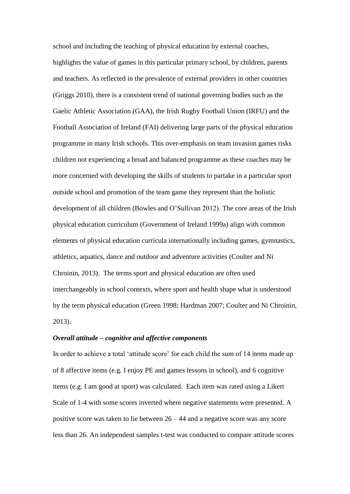school and including the teaching of physical education by external coaches, highlights the value of games in this particular primary school, by children, parents and teachers. As reflected in the prevalence of external providers in other countries (Griggs 2010), there is a consistent trend of national governing bodies such as the Gaelic Athletic Association (GAA), the Irish Rugby Football Union (IRFU) and the Football Association of Ireland (FAI) delivering large parts of the physical education programme in many Irish schools. This over-emphasis on team invasion games risks children not experiencing a broad and balanced programme as these coaches may be more concerned with developing the skills of students to partake in a particular sport outside school and promotion of the team game they represent than the holistic development of all children (Bowles and O'Sullivan 2012). The core areas of the Irish physical education curriculum (Government of Ireland 1999a) align with common elements of physical education curricula internationally including games, gymnastics, athletics, aquatics, dance and outdoor and adventure activities (Coulter and Ni Chroinin, 2013). The terms sport and physical education are often used interchangeably in school contexts, where sport and health shape what is understood by the term physical education (Green 1998; Hardman 2007; Coulter and Ni Chroinin, 2013).

## *Overall attitude – cognitive and affective components*

In order to achieve a total 'attitude score' for each child the sum of 14 items made up of 8 affective items (e.g. I enjoy PE and games lessons in school), and 6 cognitive items (e.g. I am good at sport) was calculated. Each item was rated using a Likert Scale of 1-4 with some scores inverted where negative statements were presented. A positive score was taken to lie between 26 – 44 and a negative score was any score less than 26. An independent samples t-test was conducted to compare attitude scores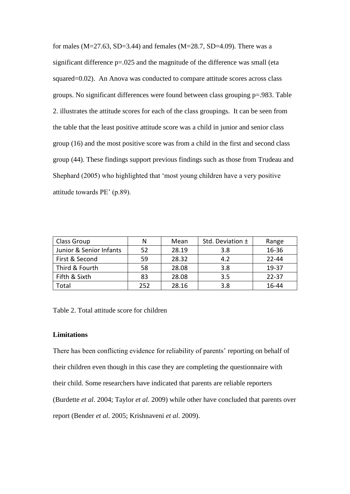for males (M=27.63, SD=3.44) and females (M=28.7, SD=4.09). There was a significant difference p=.025 and the magnitude of the difference was small (eta squared=0.02). An Anova was conducted to compare attitude scores across class groups. No significant differences were found between class grouping p=.983. Table 2. illustrates the attitude scores for each of the class groupings. It can be seen from the table that the least positive attitude score was a child in junior and senior class group (16) and the most positive score was from a child in the first and second class group (44). These findings support previous findings such as those from Trudeau and Shephard (2005) who highlighted that 'most young children have a very positive attitude towards PE' (p.89).

| Class Group             | N   | Mean  | Std. Deviation ± | Range     |
|-------------------------|-----|-------|------------------|-----------|
| Junior & Senior Infants | 52  | 28.19 | 3.8              | 16-36     |
| First & Second          | 59  | 28.32 | 4.2              | $22 - 44$ |
| Third & Fourth          | 58  | 28.08 | 3.8              | 19-37     |
| Fifth & Sixth           | 83  | 28.08 | 3.5              | $22 - 37$ |
| Total                   | 252 | 28.16 | 3.8              | 16-44     |

Table 2. Total attitude score for children

#### **Limitations**

There has been conflicting evidence for reliability of parents' reporting on behalf of their children even though in this case they are completing the questionnaire with their child. Some researchers have indicated that parents are reliable reporters (Burdette *et al*. 2004; Taylor *et al.* 2009) while other have concluded that parents over report (Bender *et al*. 2005; Krishnaveni *et al*. 2009).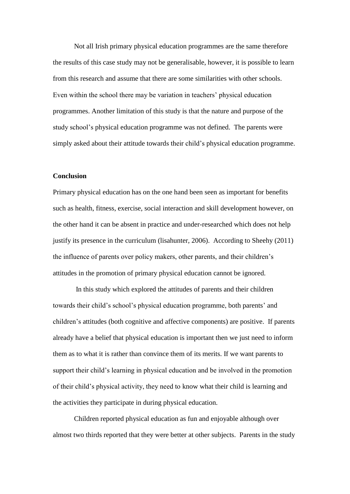Not all Irish primary physical education programmes are the same therefore the results of this case study may not be generalisable, however, it is possible to learn from this research and assume that there are some similarities with other schools. Even within the school there may be variation in teachers' physical education programmes. Another limitation of this study is that the nature and purpose of the study school's physical education programme was not defined. The parents were simply asked about their attitude towards their child's physical education programme.

#### **Conclusion**

Primary physical education has on the one hand been seen as important for benefits such as health, fitness, exercise, social interaction and skill development however, on the other hand it can be absent in practice and under-researched which does not help justify its presence in the curriculum (lisahunter, 2006). According to Sheehy (2011) the influence of parents over policy makers, other parents, and their children's attitudes in the promotion of primary physical education cannot be ignored.

In this study which explored the attitudes of parents and their children towards their child's school's physical education programme, both parents' and children's attitudes (both cognitive and affective components) are positive. If parents already have a belief that physical education is important then we just need to inform them as to what it is rather than convince them of its merits. If we want parents to support their child's learning in physical education and be involved in the promotion of their child's physical activity, they need to know what their child is learning and the activities they participate in during physical education.

Children reported physical education as fun and enjoyable although over almost two thirds reported that they were better at other subjects. Parents in the study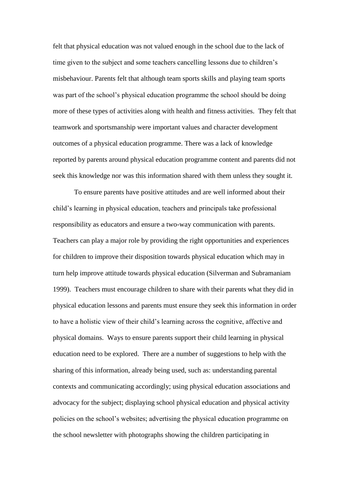felt that physical education was not valued enough in the school due to the lack of time given to the subject and some teachers cancelling lessons due to children's misbehaviour. Parents felt that although team sports skills and playing team sports was part of the school's physical education programme the school should be doing more of these types of activities along with health and fitness activities. They felt that teamwork and sportsmanship were important values and character development outcomes of a physical education programme. There was a lack of knowledge reported by parents around physical education programme content and parents did not seek this knowledge nor was this information shared with them unless they sought it.

To ensure parents have positive attitudes and are well informed about their child's learning in physical education, teachers and principals take professional responsibility as educators and ensure a two-way communication with parents. Teachers can play a major role by providing the right opportunities and experiences for children to improve their disposition towards physical education which may in turn help improve attitude towards physical education (Silverman and Subramaniam 1999). Teachers must encourage children to share with their parents what they did in physical education lessons and parents must ensure they seek this information in order to have a holistic view of their child's learning across the cognitive, affective and physical domains. Ways to ensure parents support their child learning in physical education need to be explored. There are a number of suggestions to help with the sharing of this information, already being used, such as: understanding parental contexts and communicating accordingly; using physical education associations and advocacy for the subject; displaying school physical education and physical activity policies on the school's websites; advertising the physical education programme on the school newsletter with photographs showing the children participating in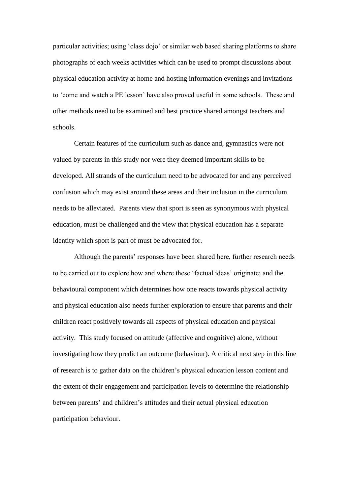particular activities; using 'class dojo' or similar web based sharing platforms to share photographs of each weeks activities which can be used to prompt discussions about physical education activity at home and hosting information evenings and invitations to 'come and watch a PE lesson' have also proved useful in some schools. These and other methods need to be examined and best practice shared amongst teachers and schools.

Certain features of the curriculum such as dance and, gymnastics were not valued by parents in this study nor were they deemed important skills to be developed. All strands of the curriculum need to be advocated for and any perceived confusion which may exist around these areas and their inclusion in the curriculum needs to be alleviated. Parents view that sport is seen as synonymous with physical education, must be challenged and the view that physical education has a separate identity which sport is part of must be advocated for.

Although the parents' responses have been shared here, further research needs to be carried out to explore how and where these 'factual ideas' originate; and the behavioural component which determines how one reacts towards physical activity and physical education also needs further exploration to ensure that parents and their children react positively towards all aspects of physical education and physical activity. This study focused on attitude (affective and cognitive) alone, without investigating how they predict an outcome (behaviour). A critical next step in this line of research is to gather data on the children's physical education lesson content and the extent of their engagement and participation levels to determine the relationship between parents' and children's attitudes and their actual physical education participation behaviour.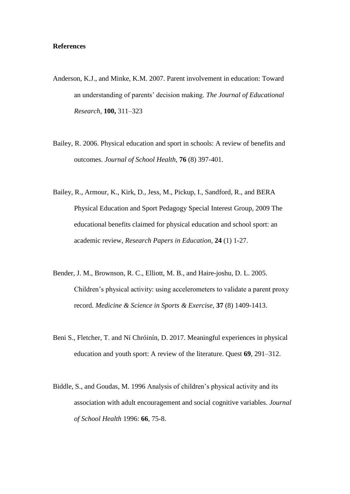## **References**

- Anderson, K.J., and Minke, K.M. 2007. Parent involvement in education: Toward an understanding of parents' decision making. *The Journal of Educational Research,* **100,** 311–323
- Bailey, R. 2006. Physical education and sport in schools: A review of benefits and outcomes. *Journal of School Health*, **76** (8) 397-401.
- Bailey, R., Armour, K., Kirk, D., Jess, M., Pickup, I., Sandford, R., and BERA Physical Education and Sport Pedagogy Special Interest Group, 2009 The educational benefits claimed for physical education and school sport: an academic review, *Research Papers in Education*, **24** (1) 1-27.
- Bender, J. M., Brownson, R. C., Elliott, M. B., and Haire-joshu, D. L. 2005. Children's physical activity: using accelerometers to validate a parent proxy record. *Medicine & Science in Sports & Exercise*, **37** (8) 1409-1413.
- Beni S., Fletcher, T. and Ní Chróinín, D. 2017. Meaningful experiences in physical education and youth sport: A review of the literature. Quest **69**, 291–312.
- Biddle, S., and Goudas, M. 1996 Analysis of children's physical activity and its association with adult encouragement and social cognitive variables. *Journal of School Health* 1996: **66**, 75-8.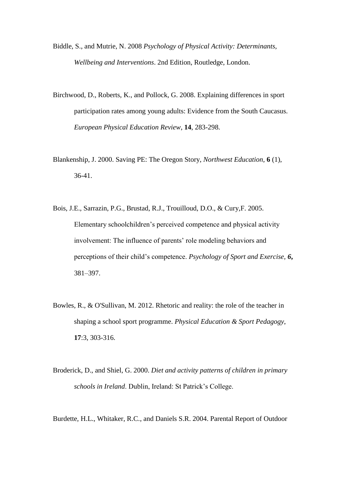- Biddle, S., and Mutrie, N. 2008 *Psychology of Physical Activity: Determinants, Wellbeing and Interventions*. 2nd Edition, Routledge, London.
- Birchwood, D., Roberts, K., and Pollock, G. 2008. Explaining differences in sport participation rates among young adults: Evidence from the South Caucasus. *European Physical Education Review*, **14**, 283-298.
- Blankenship, J. 2000. Saving PE: The Oregon Story, *Northwest Education*, **6** (1), 36-41.
- Bois, J.E., Sarrazin, P.G., Brustad, R.J., Trouilloud, D.O., & Cury,F. 2005. Elementary schoolchildren's perceived competence and physical activity involvement: The influence of parents' role modeling behaviors and perceptions of their child's competence. *Psychology of Sport and Exercise, 6***,**  381–397.
- Bowles, R., & O'Sullivan, M. 2012. Rhetoric and reality: the role of the teacher in shaping a school sport programme. *Physical Education & Sport Pedagogy*, **17**:3, 303-316.
- Broderick, D., and Shiel, G. 2000. *Diet and activity patterns of children in primary schools in Ireland*. Dublin, Ireland: St Patrick's College.

Burdette, H.L., Whitaker, R.C., and Daniels S.R. 2004. Parental Report of Outdoor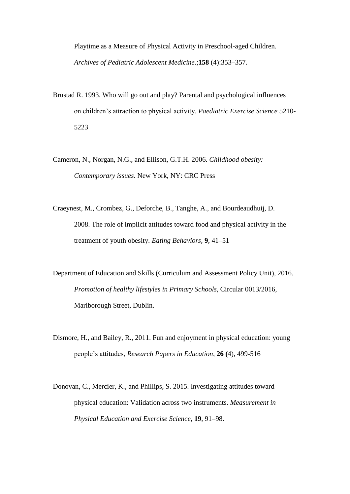Playtime as a Measure of Physical Activity in Preschool-aged Children. *Archives of Pediatric Adolescent Medicine*.;**158** (4):353–357.

- Brustad R. 1993. Who will go out and play? Parental and psychological influences on children's attraction to physical activity. *Paediatric Exercise Science* 5210- 5223
- Cameron, N., Norgan, N.G., and Ellison, G.T.H. 2006. *Childhood obesity: Contemporary issues*. New York, NY: CRC Press
- Craeynest, M., Crombez, G., Deforche, B., Tanghe, A., and Bourdeaudhuij, D. 2008. The role of implicit attitudes toward food and physical activity in the treatment of youth obesity. *Eating Behaviors,* **9**, 41–51
- Department of Education and Skills (Curriculum and Assessment Policy Unit), 2016. *Promotion of healthy lifestyles in Primary Schools*, Circular 0013/2016, Marlborough Street, Dublin.
- Dismore, H., and Bailey, R., 2011. Fun and enjoyment in physical education: young people's attitudes, *Research Papers in Education*, **26 (**4), 499-516
- Donovan, C., Mercier, K., and Phillips, S. 2015. Investigating attitudes toward physical education: Validation across two instruments. *Measurement in Physical Education and Exercise Science*, **19**, 91–98.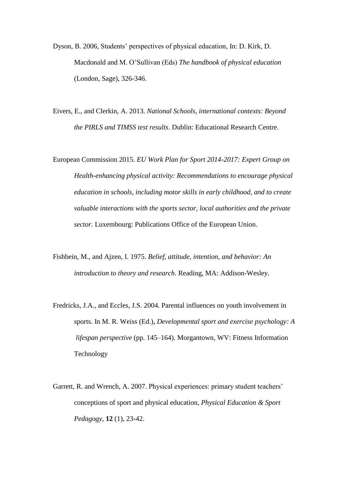- Dyson, B. 2006, Students' perspectives of physical education, In: D. Kirk, D. Macdonald and M. O'Sullivan (Eds) *The handbook of physical education* (London, Sage), 326-346.
- Eivers, E., and Clerkin, A. 2013. *National Schools, international contexts: Beyond the PIRLS and TIMSS test results*. Dublin: Educational Research Centre.
- European Commission 2015. *EU Work Plan for Sport 2014-2017: Expert Group on Health-enhancing physical activity: Recommendations to encourage physical education in schools, including motor skills in early childhood, and to create valuable interactions with the sports sector, local authorities and the private sector*. Luxembourg: Publications Office of the European Union.
- Fishbein, M., and Ajzen, I. 1975. *Belief, attitude, intention, and behavior: An introduction to theory and research*. Reading, MA: Addison-Wesley.
- Fredricks, J.A., and Eccles, J.S. 2004. Parental influences on youth involvement in sports. In M. R. Weiss (Ed.), *Developmental sport and exercise psychology: A lifespan perspective* (pp. 145–164). Morgantown, WV: Fitness Information Technology
- Garrett, R. and Wrench, A. 2007. Physical experiences: primary student teachers' conceptions of sport and physical education, *Physical Education & Sport Pedagogy*, **12** (1), 23-42.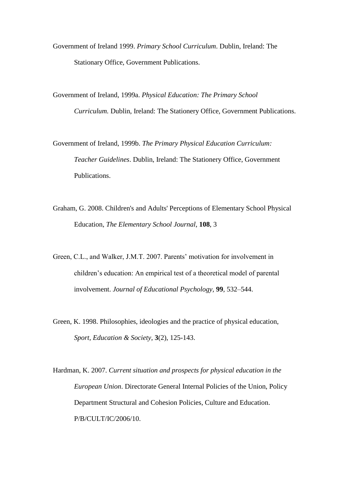- Government of Ireland 1999. *Primary School Curriculum*. Dublin, Ireland: The Stationary Office, Government Publications.
- Government of Ireland, 1999a. *Physical Education: The Primary School Curriculum.* Dublin, Ireland: The Stationery Office, Government Publications.
- Government of Ireland, 1999b. *The Primary Physical Education Curriculum: Teacher Guidelines*. Dublin, Ireland: The Stationery Office, Government Publications.
- Graham, G. 2008. Children's and Adults' Perceptions of Elementary School Physical Education, *The Elementary School Journal*, **108**, 3
- Green, C.L., and Walker, J.M.T. 2007. Parents' motivation for involvement in children's education: An empirical test of a theoretical model of parental involvement. *Journal of Educational Psychology,* **99**, 532–544.
- Green, K. 1998. Philosophies, ideologies and the practice of physical education, *Sport, Education & Society*, **3**(2), 125-143.
- Hardman, K. 2007. *Current situation and prospects for physical education in the European Union*. Directorate General Internal Policies of the Union, Policy Department Structural and Cohesion Policies, Culture and Education. P/B/CULT/IC/2006/10.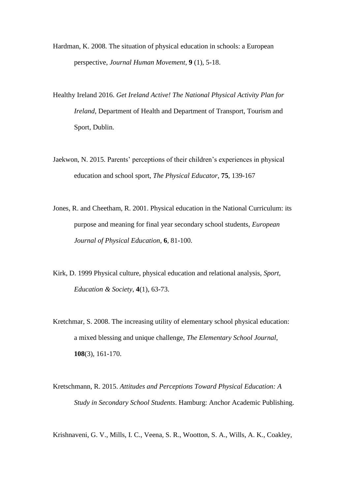- Hardman, K. 2008. The situation of physical education in schools: a European perspective, *Journal Human Movement*, **9** (1), 5-18.
- Healthy Ireland 2016. *Get Ireland Active! The National Physical Activity Plan for Ireland*, Department of Health and Department of Transport, Tourism and Sport, Dublin.
- Jaekwon, N. 2015. Parents' perceptions of their children's experiences in physical education and school sport, *The Physical Educator*, **75**, 139-167
- Jones, R. and Cheetham, R. 2001. Physical education in the National Curriculum: its purpose and meaning for final year secondary school students, *European Journal of Physical Education*, **6**, 81-100.
- Kirk, D. 1999 Physical culture, physical education and relational analysis, *Sport, Education & Society*, **4**(1), 63-73.
- Kretchmar, S. 2008. The increasing utility of elementary school physical education: a mixed blessing and unique challenge, *The Elementary School Journal*, **108**(3), 161-170.
- Kretschmann, R. 2015. *Attitudes and Perceptions Toward Physical Education: A Study in Secondary School Students*. Hamburg: Anchor Academic Publishing.

Krishnaveni, G. V., Mills, I. C., Veena, S. R., Wootton, S. A., Wills, A. K., Coakley,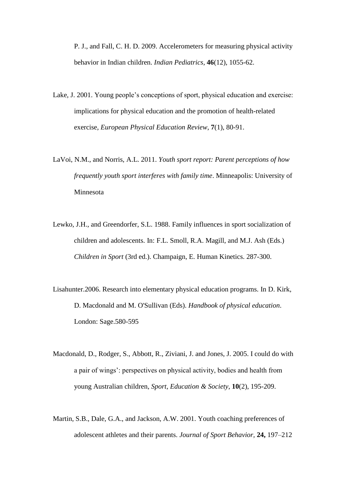P. J., and Fall, C. H. D. 2009. Accelerometers for measuring physical activity behavior in Indian children. *Indian Pediatrics*, **46**(12), 1055-62.

- Lake, J. 2001. Young people's conceptions of sport, physical education and exercise: implications for physical education and the promotion of health-related exercise, *European Physical Education Review*, **7**(1), 80-91.
- LaVoi, N.M., and Norris, A.L. 2011. *Youth sport report: Parent perceptions of how frequently youth sport interferes with family time*. Minneapolis: University of Minnesota
- Lewko, J.H., and Greendorfer, S.L. 1988. Family influences in sport socialization of children and adolescents. In: F.L. Smoll, R.A. Magill, and M.J. Ash (Eds.) *Children in Sport* (3rd ed.). Champaign, E. Human Kinetics. 287-300.
- Lisahunter.2006. Research into elementary physical education programs. In D. Kirk, D. Macdonald and M. O'Sullivan (Eds). *Handbook of physical education*. London: Sage.580-595
- Macdonald, D., Rodger, S., Abbott, R., Ziviani, J. and Jones, J. 2005. I could do with a pair of wings': perspectives on physical activity, bodies and health from young Australian children, *Sport, Education & Society*, **10**(2), 195-209.
- Martin, S.B., Dale, G.A., and Jackson, A.W. 2001. Youth coaching preferences of adolescent athletes and their parents. *Journal of Sport Behavior,* **24,** 197–212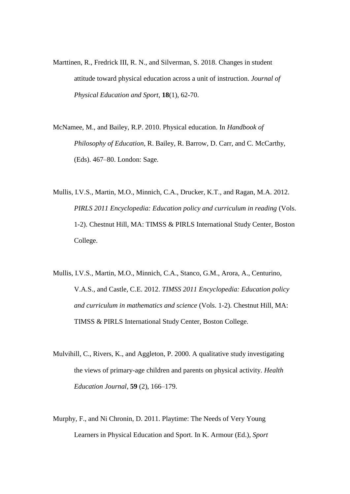- Marttinen, R., Fredrick III, R. N., and Silverman, S. 2018. Changes in student attitude toward physical education across a unit of instruction. *Journal of Physical Education and Sport*, **18**(1), 62-70.
- McNamee, M., and Bailey, R.P. 2010. Physical education. In *Handbook of Philosophy of Education*, R. Bailey, R. Barrow, D. Carr, and C. McCarthy, (Eds). 467–80. London: Sage.
- Mullis, I.V.S., Martin, M.O., Minnich, C.A., Drucker, K.T., and Ragan, M.A. 2012. *PIRLS 2011 Encyclopedia: Education policy and curriculum in reading* (Vols. 1-2). Chestnut Hill, MA: TIMSS & PIRLS International Study Center, Boston College.
- Mullis, I.V.S., Martin, M.O., Minnich, C.A., Stanco, G.M., Arora, A., Centurino, V.A.S., and Castle, C.E. 2012. *TIMSS 2011 Encyclopedia: Education policy and curriculum in mathematics and science* (Vols. 1-2). Chestnut Hill, MA: TIMSS & PIRLS International Study Center, Boston College.
- Mulvihill, C., Rivers, K., and Aggleton, P. 2000. A qualitative study investigating the views of primary-age children and parents on physical activity. *Health Education Journal*, **59** (2), 166–179.
- Murphy, F., and Ni Chronin, D. 2011. Playtime: The Needs of Very Young Learners in Physical Education and Sport. In K. Armour (Ed.), *Sport*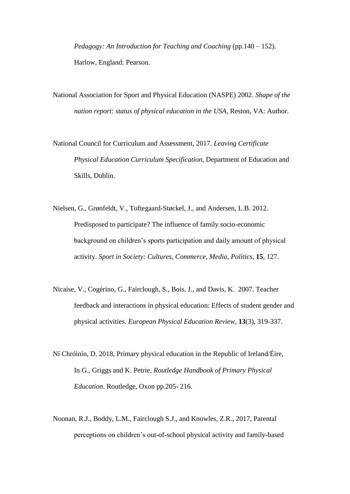*Pedagogy: An Introduction for Teaching and Coaching* (pp.140 – 152). Harlow, England: Pearson.

National Association for Sport and Physical Education (NASPE) 2002. *Shape of the nation report: status of physical education in the USA*, Reston, VA: Author.

National Council for Curriculum and Assessment, 2017. *Leaving Certificate Physical Education Curriculum Specification*, Department of Education and Skills, Dublin.

Nielsen, G., Grønfeldt, V., Toftegaard-Støckel, J., and Andersen, L.B. 2012. Predisposed to participate? The influence of family socio-economic background on children's sports participation and daily amount of physical activity. *Sport in Society: Cultures, Commerce, Media, Politics*, **15**, 127.

- Nicaise, V., Cogérino, G., Fairclough, S., Bois, J., and Davis, K. 2007. Teacher feedback and interactions in physical education: Effects of student gender and physical activities. *European Physical Education Review*, **13**(3), 319-337.
- Ní Chróinín, D. 2018, Primary physical education in the Republic of Ireland/Éire, In G., Griggs and K. Petrie, *Routledge Handbook of Primary Physical Education*. Routledge, Oxon pp.205- 216.
- Noonan, R.J., Boddy, L.M., Fairclough S.J., and Knowles, Z.R., 2017, Parental perceptions on children's out-of-school physical activity and family-based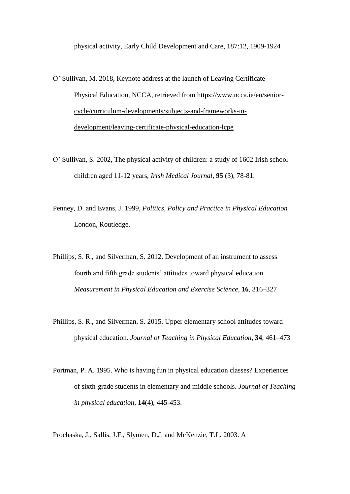physical activity, Early Child Development and Care, 187:12, 1909-1924

- O' Sullivan, M. 2018, Keynote address at the launch of Leaving Certificate Physical Education, NCCA, retrieved from [https://www.ncca.ie/en/senior](https://www.ncca.ie/en/senior-cycle/curriculum-developments/subjects-and-frameworks-in-development/leaving-certificate-physical-education-lcpe)[cycle/curriculum-developments/subjects-and-frameworks-in](https://www.ncca.ie/en/senior-cycle/curriculum-developments/subjects-and-frameworks-in-development/leaving-certificate-physical-education-lcpe)[development/leaving-certificate-physical-education-lcpe](https://www.ncca.ie/en/senior-cycle/curriculum-developments/subjects-and-frameworks-in-development/leaving-certificate-physical-education-lcpe)
- O' Sullivan, S. 2002, The physical activity of children: a study of 1602 Irish school children aged 11-12 years, *Irish Medical Journal*, **95** (3), 78-81.
- Penney, D. and Evans, J. 1999, *Politics, Policy and Practice in Physical Education* London, Routledge.
- Phillips, S. R., and Silverman, S. 2012. Development of an instrument to assess fourth and fifth grade students' attitudes toward physical education. *Measurement in Physical Education and Exercise Science*, **16**, 316–327
- Phillips, S. R., and Silverman, S. 2015. Upper elementary school attitudes toward physical education. *Journal of Teaching in Physical Education*, **34**, 461–473
- Portman, P. A. 1995. Who is having fun in physical education classes? Experiences of sixth-grade students in elementary and middle schools. *Journal of Teaching in physical education*, **14**(4), 445-453.

Prochaska, J., Sallis, J.F., Slymen, D.J. and McKenzie, T.L. 2003. A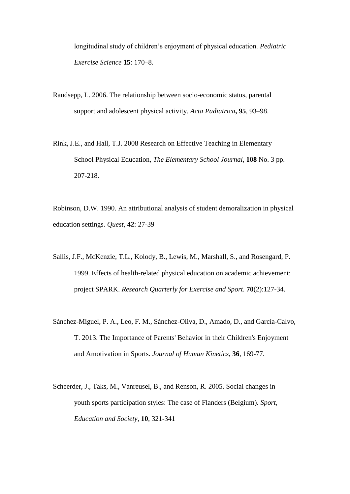longitudinal study of children's enjoyment of physical education. *Pediatric Exercise Science* **15**: 170–8.

- Raudsepp, L. 2006. The relationship between socio-economic status, parental support and adolescent physical activity. *Acta Padiatrica***, 95**, 93–98.
- Rink, J.E., and Hall, T.J. 2008 Research on Effective Teaching in Elementary School Physical Education, *The Elementary School Journal*, **108** No. 3 pp. 207-218.

Robinson, D.W. 1990. An attributional analysis of student demoralization in physical education settings. *Quest*, **42**: 27-39

- Sallis, J.F., McKenzie, T.L., Kolody, B., Lewis, M., Marshall, S., and Rosengard, P. 1999. Effects of health-related physical education on academic achievement: project SPARK. *Research Quarterly for Exercise and Sport*. **70**(2):127-34.
- Sánchez-Miguel, P. A., Leo, F. M., Sánchez-Oliva, D., Amado, D., and García-Calvo, T. 2013. The Importance of Parents' Behavior in their Children's Enjoyment and Amotivation in Sports. *Journal of Human Kinetics,* **36**, 169-77.
- Scheerder, J., Taks, M., Vanreusel, B., and Renson, R. 2005. Social changes in youth sports participation styles: The case of Flanders (Belgium). *Sport, Education and Society*, **10**, 321-341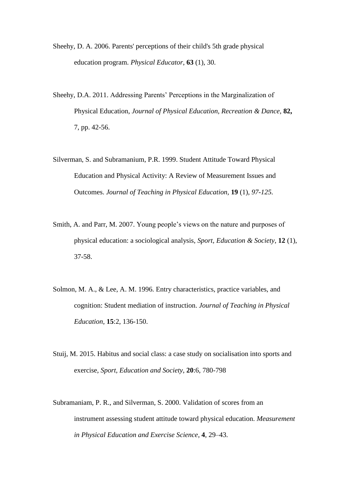Sheehy, D. A. 2006. Parents' perceptions of their child's 5th grade physical education program. *Physical Educator*, **63** (1), 30.

- Sheehy, D.A. 2011. Addressing Parents' Perceptions in the Marginalization of Physical Education, *Journal of Physical Education, Recreation & Dance*, **82,**  7, pp. 42-56.
- Silverman, S. and Subramanium, P.R. 1999. Student Attitude Toward Physical Education and Physical Activity: A Review of Measurement Issues and Outcomes. *Journal of Teaching in Physical Education,* **19** (1)*, 97-125.*
- Smith, A. and Parr, M. 2007. Young people's views on the nature and purposes of physical education: a sociological analysis, *Sport, Education & Society*, **12** (1), 37-58.
- Solmon, M. A., & Lee, A. M. 1996. Entry characteristics, practice variables, and cognition: Student mediation of instruction. *Journal of Teaching in Physical Education*, **15**:2, 136-150.
- Stuij, M. 2015. Habitus and social class: a case study on socialisation into sports and exercise, *Sport, Education and Society*, **20**:6, 780-798
- Subramaniam, P. R., and Silverman, S. 2000. Validation of scores from an instrument assessing student attitude toward physical education. *Measurement in Physical Education and Exercise Science*, **4**, 29–43.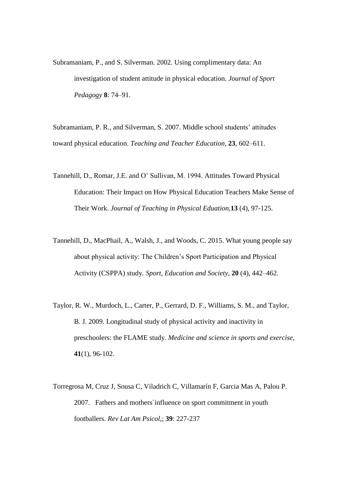Subramaniam, P., and S. Silverman. 2002. Using complimentary data: An investigation of student attitude in physical education. *Journal of Sport Pedagogy* **8**: 74–91.

Subramaniam, P. R., and Silverman, S. 2007. Middle school students' attitudes toward physical education. *Teaching and Teacher Education*, **23**, 602–611.

- Tannehill, D., Romar, J.E. and O' Sullivan, M. 1994. Attitudes Toward Physical Education: Their Impact on How Physical Education Teachers Make Sense of Their Work. *Journal of Teaching in Physical Eduation,***13** (4), 97-125.
- Tannehill, D., MacPhail, A., Walsh, J., and Woods, C. 2015. What young people say about physical activity: The Children's Sport Participation and Physical Activity (CSPPA) study. *Sport, Education and Society*, **20** (4), 442–462.
- Taylor, R. W., Murdoch, L., Carter, P., Gerrard, D. F., Williams, S. M., and Taylor, B. J. 2009. Longitudinal study of physical activity and inactivity in preschoolers: the FLAME study. *Medicine and science in sports and exercise*, **41**(1), 96-102.
- Torregrosa M, Cruz J, Sousa C, Viladrich C, Villamarín F, Garcia Mas A, Palou P. 2007. Fathers and mothers´influence on sport commitment in youth footballers. *Rev Lat Am Psicol*,; **39**: 227-237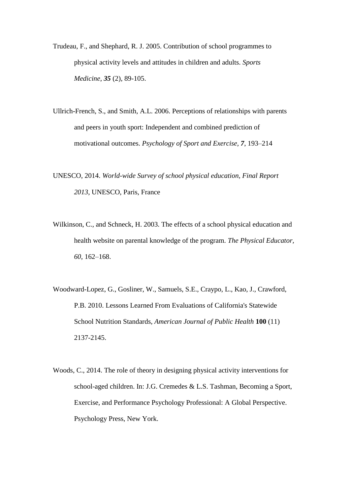- Trudeau, F., and Shephard, R. J. 2005. Contribution of school programmes to physical activity levels and attitudes in children and adults. *Sports Medicine*, *35* (2), 89-105.
- Ullrich-French, S., and Smith, A.L. 2006. Perceptions of relationships with parents and peers in youth sport: Independent and combined prediction of motivational outcomes. *Psychology of Sport and Exercise, 7*, 193–214
- UNESCO, 2014. *World-wide Survey of school physical education, Final Report 2013*, UNESCO, Paris, France
- Wilkinson, C., and Schneck, H. 2003. The effects of a school physical education and health website on parental knowledge of the program. *The Physical Educator, 60*, 162–168.
- Woodward-Lopez, G., Gosliner, W., Samuels, S.E., Craypo, L., Kao, J., Crawford, P.B. 2010. Lessons Learned From Evaluations of California's Statewide School Nutrition Standards, *American Journal of Public Health* **100** (11) 2137-2145.
- Woods, C., 2014. The role of theory in designing physical activity interventions for school-aged children. In: J.G. Cremedes & L.S. Tashman, Becoming a Sport, Exercise, and Performance Psychology Professional: A Global Perspective. Psychology Press, New York.